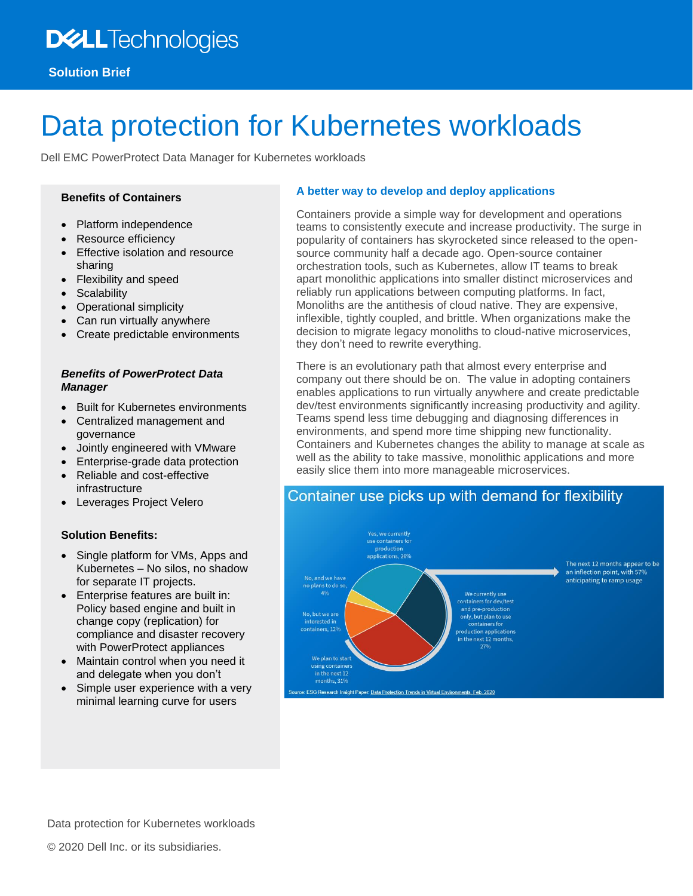# **DELL**Technologies

# Data protection for Kubernetes workloads

Dell EMC PowerProtect Data Manager for Kubernetes workloads

## **Benefits of Containers**

- Platform independence
- Resource efficiency
- **Effective isolation and resource** sharing
- Flexibility and speed
- **Scalability**
- Operational simplicity
- Can run virtually anywhere
- Create predictable environments

## *Benefits of PowerProtect Data Manager*

- Built for Kubernetes environments
- Centralized management and governance
- Jointly engineered with VMware
- Enterprise-grade data protection
- Reliable and cost-effective infrastructure
- Leverages Project Velero

## **Solution Benefits:**

- Single platform for VMs, Apps and Kubernetes – No silos, no shadow for separate IT projects.
- Enterprise features are built in: Policy based engine and built in change copy (replication) for compliance and disaster recovery with PowerProtect appliances
- Maintain control when you need it and delegate when you don't
- Simple user experience with a very minimal learning curve for users

## **A better way to develop and deploy applications**

Containers provide a simple way for development and operations teams to consistently execute and increase productivity. The surge in popularity of containers has skyrocketed since released to the opensource community half a decade ago. Open-source container orchestration tools, such as Kubernetes, allow IT teams to break apart monolithic applications into smaller distinct microservices and reliably run applications between computing platforms. In fact, Monoliths are the antithesis of cloud native. They are expensive, inflexible, tightly coupled, and brittle. When organizations make the decision to migrate legacy monoliths to cloud-native microservices, they don't need to rewrite everything.

There is an evolutionary path that almost every enterprise and company out there should be on. The value in adopting containers enables applications to run virtually anywhere and create predictable dev/test environments significantly increasing productivity and agility. Teams spend less time debugging and diagnosing differences in environments, and spend more time shipping new functionality. Containers and Kubernetes changes the ability to manage at scale as well as the ability to take massive, monolithic applications and more easily slice them into more manageable microservices.

## Container use picks up with demand for flexibility



Data protection for Kubernetes workloads

© 2020 Dell Inc. or its subsidiaries.